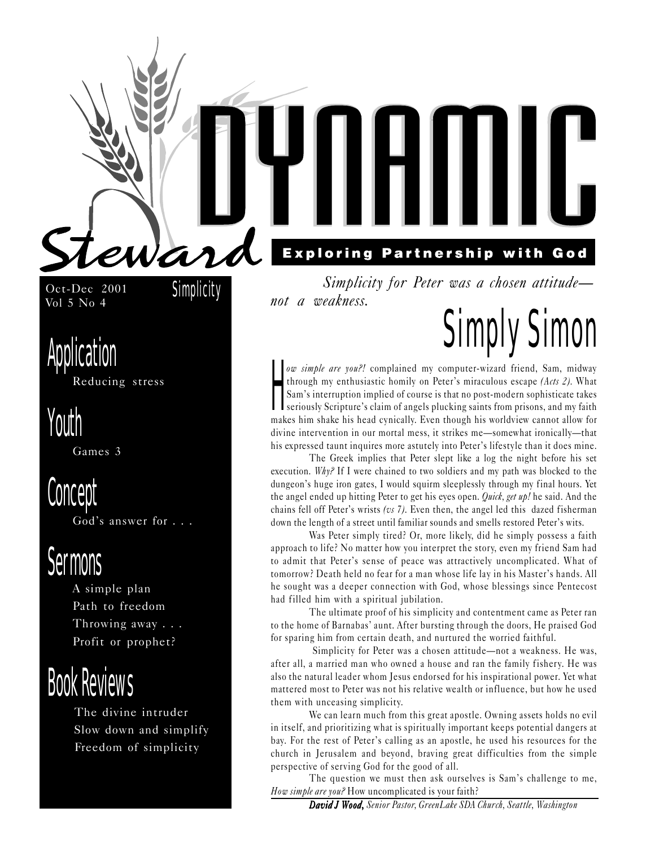Wa

Oct-Dec 2001 Simplicity<br>Vol 5 No 4 Vol 5 No 4

# Application Reducing stress

### Youth

Games 3

### Concept

God's answer for . . .

### **Sermons**

A simple plan Path to freedom Throwing away . . . Profit or prophet?

### Book Reviews

The divine intruder Slow down and simplify Freedom of simplicity

### *Simplicity for Peter was a chosen attitude—*

**Exploring Partnership with God** 

*not a weakness.*

# Simply Simon

H<br>mal<br>divi *ow simple are you?!* complained my computer-wizard friend, Sam, midway through my enthusiastic homily on Peter's miraculous escape *(Acts 2).* What Sam's interruption implied of course is that no post-modern sophisticate takes seriously Scripture's claim of angels plucking saints from prisons, and my faith makes him shake his head cynically. Even though his worldview cannot allow for divine intervention in our mortal mess, it strikes me—somewhat ironically—that his expressed taunt inquires more astutely into Peter's lifestyle than it does mine.

The Greek implies that Peter slept like a log the night before his set execution. *Why?* If I were chained to two soldiers and my path was blocked to the dungeon's huge iron gates, I would squirm sleeplessly through my final hours. Yet the angel ended up hitting Peter to get his eyes open. *Quick, get up!* he said. And the chains fell off Peter's wrists *(vs 7)*. Even then, the angel led this dazed fisherman down the length of a street until familiar sounds and smells restored Peter's wits.

Was Peter simply tired? Or, more likely, did he simply possess a faith approach to life? No matter how you interpret the story, even my friend Sam had to admit that Peter's sense of peace was attractively uncomplicated. What of tomorrow? Death held no fear for a man whose life lay in his Master's hands. All he sought was a deeper connection with God, whose blessings since Pentecost had filled him with a spiritual jubilation.

The ultimate proof of his simplicity and contentment came as Peter ran to the home of Barnabas' aunt. After bursting through the doors, He praised God for sparing him from certain death, and nurtured the worried faithful.

 Simplicity for Peter was a chosen attitude—not a weakness. He was, after all, a married man who owned a house and ran the family fishery. He was also the natural leader whom Jesus endorsed for his inspirational power. Yet what mattered most to Peter was not his relative wealth or influence, but how he used them with unceasing simplicity.

We can learn much from this great apostle. Owning assets holds no evil in itself, and prioritizing what is spiritually important keeps potential dangers at bay. For the rest of Peter's calling as an apostle, he used his resources for the church in Jerusalem and beyond, braving great difficulties from the simple perspective of serving God for the good of all.

The question we must then ask ourselves is Sam's challenge to me, *How simple are you?* How uncomplicated is your faith?

*David J Wood, Senior Pastor, GreenLake SDA Church, Seattle, Washington*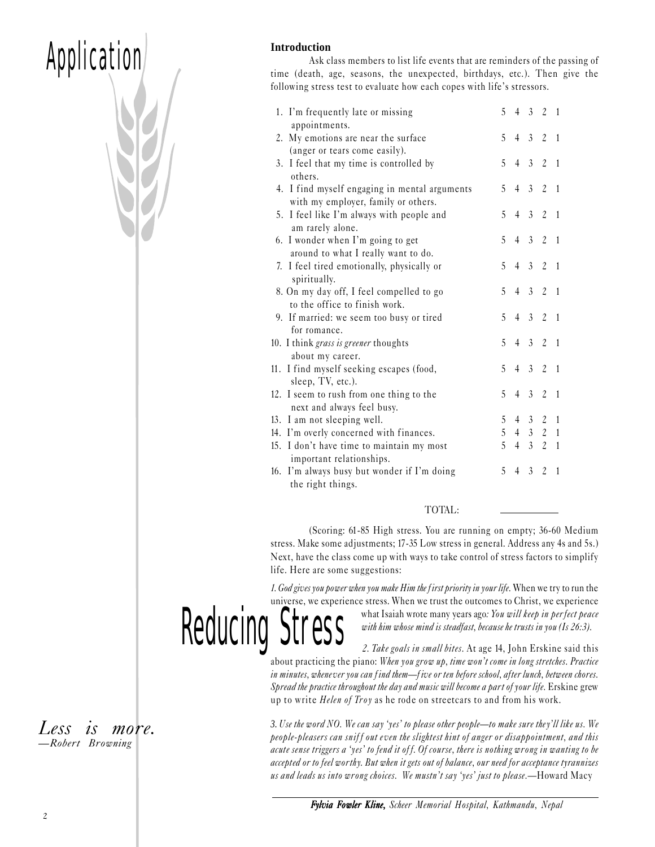### Application

#### **Introduction**

Ask class members to list life events that are reminders of the passing of time (death, age, seasons, the unexpected, birthdays, etc.). Then give the following stress test to evaluate how each copes with life's stressors.

| 1. I'm frequently late or missing<br>appointments.                                   | 5 |                 | $4 \t3 \t2 \t1$ |                |                          |
|--------------------------------------------------------------------------------------|---|-----------------|-----------------|----------------|--------------------------|
| 2. My emotions are near the surface<br>(anger or tears come easily).                 | 5 | $4 \t3 \t2 \t1$ |                 |                |                          |
| 3. I feel that my time is controlled by<br>others.                                   | 5 |                 | $4 \t3 \t2 \t1$ |                |                          |
| 4. I find myself engaging in mental arguments<br>with my employer, family or others. | 5 | $\overline{4}$  | $\mathfrak{Z}$  | $\overline{c}$ | $\overline{1}$           |
| 5. I feel like I'm always with people and<br>am rarely alone.                        | 5 | $4 \quad$       | 3 <sup>7</sup>  | 2 <sub>1</sub> |                          |
| 6. I wonder when I'm going to get<br>around to what I really want to do.             | 5 | $\overline{4}$  | 3 <sup>7</sup>  | 2 <sub>1</sub> |                          |
| 7. I feel tired emotionally, physically or<br>spiritually.                           | 5 |                 | $4 \t3 \t2 \t1$ |                |                          |
| 8. On my day off, I feel compelled to go<br>to the office to finish work.            | 5 | $\overline{4}$  | 3 <sup>7</sup>  | 2              | $\overline{1}$           |
| 9. If married: we seem too busy or tired<br>for romance.                             | 5 |                 | $4 \quad 3$     | 2              | $\overline{\phantom{0}}$ |
| 10. I think grass is greener thoughts<br>about my career.                            | 5 |                 | $4 \quad 3$     | 2              | $\overline{1}$           |
| 11. I find myself seeking escapes (food,<br>sleep, TV, etc.).                        | 5 |                 | $4 \quad 3$     | $\overline{c}$ | $\overline{1}$           |
| 12. I seem to rush from one thing to the<br>next and always feel busy.               | 5 | $\overline{4}$  | 3 <sup>7</sup>  | $\overline{c}$ | $\overline{1}$           |
| 13. I am not sleeping well.                                                          | 5 |                 | $4 \quad 3$     | 2 <sub>1</sub> |                          |
| 14. I'm overly concerned with finances.                                              | 5 |                 | $4 \quad 3$     | $\mathfrak{2}$ | 1                        |
| 15. I don't have time to maintain my most<br>important relationships.                | 5 | $\overline{4}$  | 3 <sup>7</sup>  | 2 <sub>1</sub> |                          |
| 16. I'm always busy but wonder if I'm doing<br>the right things.                     | 5 | $\overline{4}$  | 3               | $\overline{c}$ | $\overline{1}$           |

#### TOTAL:

(Scoring: 61-85 High stress. You are running on empty; 36-60 Medium stress. Make some adjustments; 17-35 Low stress in general. Address any 4s and 5s.) Next, have the class come up with ways to take control of stress factors to simplify life. Here are some suggestions:

*1. God gives you power when you make Him the f irst priority in your life.* When we try to run the universe, we experience stress. When we trust the outcomes to Christ, we experience

Reducing

what Isaiah wrote many years ago*: You will keep in per fect peace with him whose mind is steadfast, because he trusts in you (Is 26:3).*

*2. Take goals in small bites.* At age 14, John Erskine said this about practicing the piano: *When you grow up, time won't come in long stretches. Practice in minutes, whenever you can f ind them—f ive or ten before school, after lunch, between chores. Spread the practice throughout the day and music will become a part of your life.* Erskine grew up to write *Helen of Troy* as he rode on streetcars to and from his work.

*3. Use the word NO. We can say 'yes' to please other people—to make sure they'll like us. We people-pleasers can snif f out even the slightest hint of anger or disappointment, and this acute sense triggers a 'yes' to fend it off. Of course, there is nothing wrong in wanting to be accepted or to feel worthy. But when it gets out of balance, our need for acceptance tyrannizes us and leads us into wrong choices. We mustn't say 'yes' just to please.—*Howard Macy

*Less is more. —Robert Browning*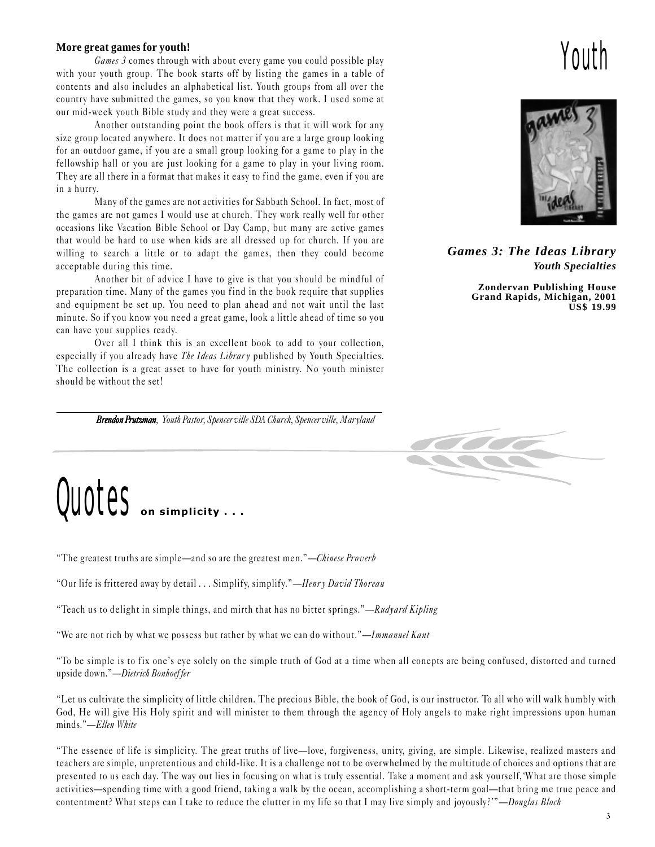More great games for youth!<br> *Games 3* comes through with about every game you could possible play<br>
with your youth group. The book starts off by listing the games in a table of<br> **Solution** *Games 3* comes through with about every game you could possible play contents and also includes an alphabetical list. Youth groups from all over the country have submitted the games, so you know that they work. I used some at our mid-week youth Bible study and they were a great success.

Another outstanding point the book offers is that it will work for any size group located anywhere. It does not matter if you are a large group looking for an outdoor game, if you are a small group looking for a game to play in the fellowship hall or you are just looking for a game to play in your living room. They are all there in a format that makes it easy to find the game, even if you are in a hurry.

Many of the games are not activities for Sabbath School. In fact, most of the games are not games I would use at church. They work really well for other occasions like Vacation Bible School or Day Camp, but many are active games that would be hard to use when kids are all dressed up for church. If you are willing to search a little or to adapt the games, then they could become acceptable during this time.

Another bit of advice I have to give is that you should be mindful of preparation time. Many of the games you find in the book require that supplies and equipment be set up. You need to plan ahead and not wait until the last minute. So if you know you need a great game, look a little ahead of time so you can have your supplies ready.

Over all I think this is an excellent book to add to your collection, especially if you already have *The Ideas Librar y* published by Youth Specialties. The collection is a great asset to have for youth ministry. No youth minister should be without the set!

*Brendon Prutzman, Y rutzman outh Pastor, Spencer ville SDA Church, Spencer ville, Maryland*

## Ouotes on simplicity . . .

"The greatest truths are simple—and so are the greatest men."—*Chinese Proverb*

"Our life is frittered away by detail . . . Simplify, simplify."—*Henry David Thoreau*

"Teach us to delight in simple things, and mirth that has no bitter springs."—*Rudyard Kipling*

"We are not rich by what we possess but rather by what we can do without."—*Immanuel Kant*

"To be simple is to fix one's eye solely on the simple truth of God at a time when all conepts are being confused, distorted and turned upside down."—*Dietrich Bonhoef fer*

"Let us cultivate the simplicity of little children. The precious Bible, the book of God, is our instructor. To all who will walk humbly with God, He will give His Holy spirit and will minister to them through the agency of Holy angels to make right impressions upon human minds."—*Ellen White*

"The essence of life is simplicity. The great truths of live*—*love, forgiveness, unity, giving, are simple. Likewise, realized masters and teachers are simple, unpretentious and child-like. It is a challenge not to be overwhelmed by the multitude of choices and options that are presented to us each day. The way out lies in focusing on what is truly essential. Take a moment and ask yourself,*'*What are those simple activities—spending time with a good friend, taking a walk by the ocean, accomplishing a short-term goal—that bring me true peace and contentment? What steps can I take to reduce the clutter in my life so that I may live simply and joyously?'"—*Douglas Bloch*



*Games 3: The Ideas Library Youth Specialties*

> **Zondervan Publishing House Grand Rapids, Michigan, 2001 US\$ 19.99**

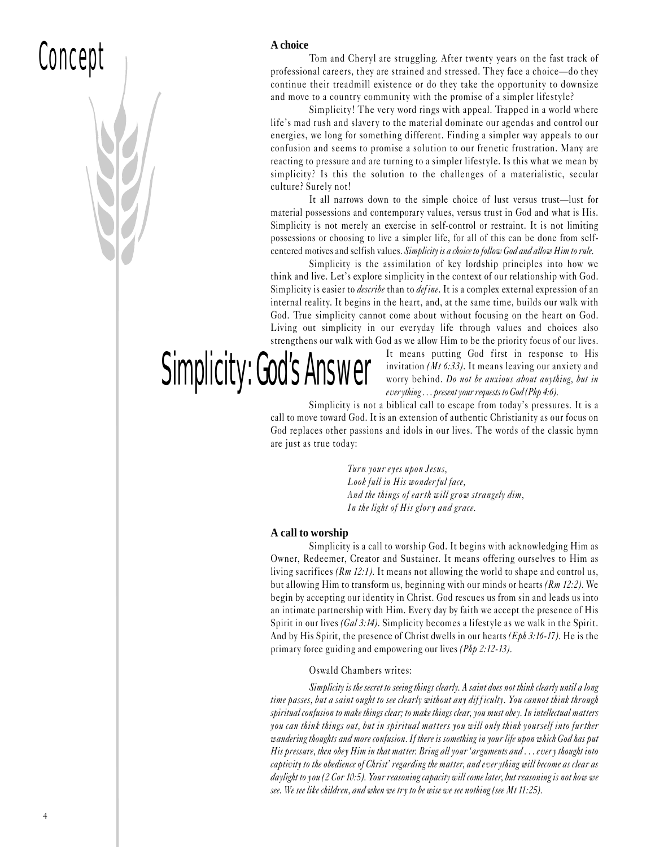### Concept

#### **A choice**

Tom and Cheryl are struggling. After twenty years on the fast track of professional careers, they are strained and stressed. They face a choice—do they continue their treadmill existence or do they take the opportunity to downsize and move to a country community with the promise of a simpler lifestyle?

Simplicity! The very word rings with appeal. Trapped in a world where life's mad rush and slavery to the material dominate our agendas and control our energies, we long for something different. Finding a simpler way appeals to our confusion and seems to promise a solution to our frenetic frustration. Many are reacting to pressure and are turning to a simpler lifestyle. Is this what we mean by simplicity? Is this the solution to the challenges of a materialistic, secular culture? Surely not!

It all narrows down to the simple choice of lust versus trust—lust for material possessions and contemporary values, versus trust in God and what is His. Simplicity is not merely an exercise in self-control or restraint. It is not limiting possessions or choosing to live a simpler life, for all of this can be done from selfcentered motives and selfish values. *Simplicity is a choice to follow God and allow Him to rule.*

Simplicity is the assimilation of key lordship principles into how we think and live. Let's explore simplicity in the context of our relationship with God. Simplicity is easier to *describe* than to *def ine*. It is a complex external expression of an internal reality. It begins in the heart, and, at the same time, builds our walk with God. True simplicity cannot come about without focusing on the heart on God. Living out simplicity in our everyday life through values and choices also strengthens our walk with God as we allow Him to be the priority focus of our lives.

Simplicity: God's Answer

It means putting God first in response to His invitation *(Mt 6:33)*. It means leaving our anxiety and worry behind. *Do not be anxious about anything, but in everything . . . present your requests to God (Php 4:6).*

Simplicity is not a biblical call to escape from today's pressures. It is a call to move toward God. It is an extension of authentic Christianity as our focus on God replaces other passions and idols in our lives. The words of the classic hymn are just as true today:

> *Tur n your e yes upon Jesus, Look full in His wonderful face, And the things of earth will grow strangely dim, In the light of His glory and grace.*

#### **A call to worship**

Simplicity is a call to worship God. It begins with acknowledging Him as Owner, Redeemer, Creator and Sustainer. It means offering ourselves to Him as living sacrifices *(Rm 12:1).* It means not allowing the world to shape and control us, but allowing Him to transform us, beginning with our minds or hearts *(Rm 12:2).* We begin by accepting our identity in Christ. God rescues us from sin and leads us into an intimate partnership with Him. Every day by faith we accept the presence of His Spirit in our lives *(Gal 3:14)*. Simplicity becomes a lifestyle as we walk in the Spirit. And by His Spirit, the presence of Christ dwells in our hearts *(Eph 3:16-17).* He is the primary force guiding and empowering our lives *(Php 2:12-13).*

#### Oswald Chambers writes:

*Simplicity is the secret to seeing things clearly. A saint does not think clearly until a long time passes, but a saint ought to see clearly without any dif f iculty. You cannot think through spiritual confusion to make things clear; to make things clear, you must obey. In intellectual matters you can think things out, but in spiritual matters you will only think yourself into further wandering thoughts and more confusion. If there is something in your life upon which God has put His pressure, then obey Him in that matter. Bring all your 'arguments and . . . ever y thought into captivity to the obedience of Christ' regarding the matter, and ever ything will become as clear as daylight to you (2 Cor 10:5). Your reasoning capacity will come later, but reasoning is not how we see. We see like children, and when we tr y to be wise we see nothing (see Mt 11:25).*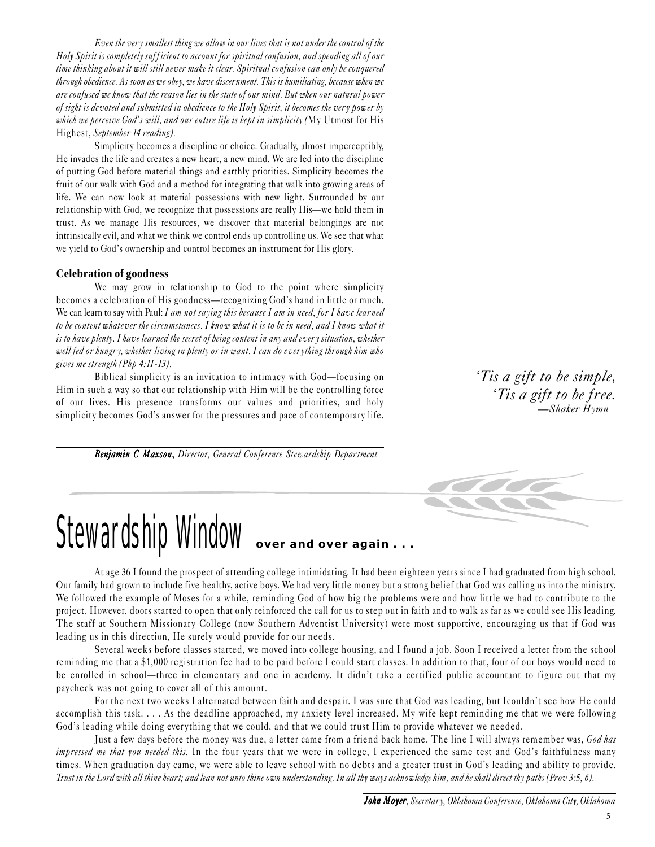*Even the very smallest thing we allow in our lives that is not under the control of the Holy Spirit is completely suf f icient to account for spiritual confusion, and spending all of our time thinking about it will still ne ver make it clear. Spiritual confusion can only be conquered through obedience. As soon as we obey, we have discernment. This is humiliating, because when we are confused we know that the reason lies in the state of our mind. But when our natural power of sight is devoted and submitted in obedience to the Holy Spirit, it becomes the very power by which we perceive God's will, and our entire life is kept in simplicity (*My Utmost for His Highest, *September 14 reading).*

Simplicity becomes a discipline or choice. Gradually, almost imperceptibly, He invades the life and creates a new heart, a new mind. We are led into the discipline of putting God before material things and earthly priorities. Simplicity becomes the fruit of our walk with God and a method for integrating that walk into growing areas of life. We can now look at material possessions with new light. Surrounded by our relationship with God, we recognize that possessions are really His—we hold them in trust. As we manage His resources, we discover that material belongings are not intrinsically evil, and what we think we control ends up controlling us. We see that what we yield to God's ownership and control becomes an instrument for His glory.

#### **Celebration of goodness**

We may grow in relationship to God to the point where simplicity becomes a celebration of His goodness—recognizing God's hand in little or much. We can learn to say with Paul: *I am not saying this because I am in need, for I have learned to be content whatever the circumstances. I know what it is to be in need, and I know what it is to have plenty. I have learned the secret of being content in any and ever y situation, whether well fed or hungr y, whether living in plenty or in want. I can do e ver ything through him who gives me strength (Php 4:11-13).*

Biblical simplicity is an invitation to intimacy with God—focusing on Him in such a way so that our relationship with Him will be the controlling force of our lives. His presence transforms our values and priorities, and holy simplicity becomes God's answer for the pressures and pace of contemporary life.

**Benjamin C Maxson, Director, General Conference Stewardship Department** 

*'Tis a gift to be simple, 'Tis a gift to be free. —Shaker Hymn*



### Stewardship Window **over and over again . . .**

At age 36 I found the prospect of attending college intimidating. It had been eighteen years since I had graduated from high school. Our family had grown to include five healthy, active boys. We had very little money but a strong belief that God was calling us into the ministry. We followed the example of Moses for a while, reminding God of how big the problems were and how little we had to contribute to the project. However, doors started to open that only reinforced the call for us to step out in faith and to walk as far as we could see His leading. The staff at Southern Missionary College (now Southern Adventist University) were most supportive, encouraging us that if God was leading us in this direction, He surely would provide for our needs.

Several weeks before classes started, we moved into college housing, and I found a job. Soon I received a letter from the school reminding me that a \$1,000 registration fee had to be paid before I could start classes. In addition to that, four of our boys would need to be enrolled in school—three in elementary and one in academy. It didn't take a certified public accountant to figure out that my paycheck was not going to cover all of this amount.

For the next two weeks I alternated between faith and despair. I was sure that God was leading, but Icouldn't see how He could accomplish this task. . . . As the deadline approached, my anxiety level increased. My wife kept reminding me that we were following God's leading while doing everything that we could, and that we could trust Him to provide whatever we needed.

Just a few days before the money was due, a letter came from a friend back home. The line I will always remember was, *God has impressed me that you needed this.* In the four years that we were in college, I experienced the same test and God's faithfulness many times. When graduation day came, we were able to leave school with no debts and a greater trust in God's leading and ability to provide. *Trust in the Lord with all thine heart; and lean not unto thine own understanding. In all thy ways acknowledge him, and he shall direct thy paths (Prov 3:5, 6).*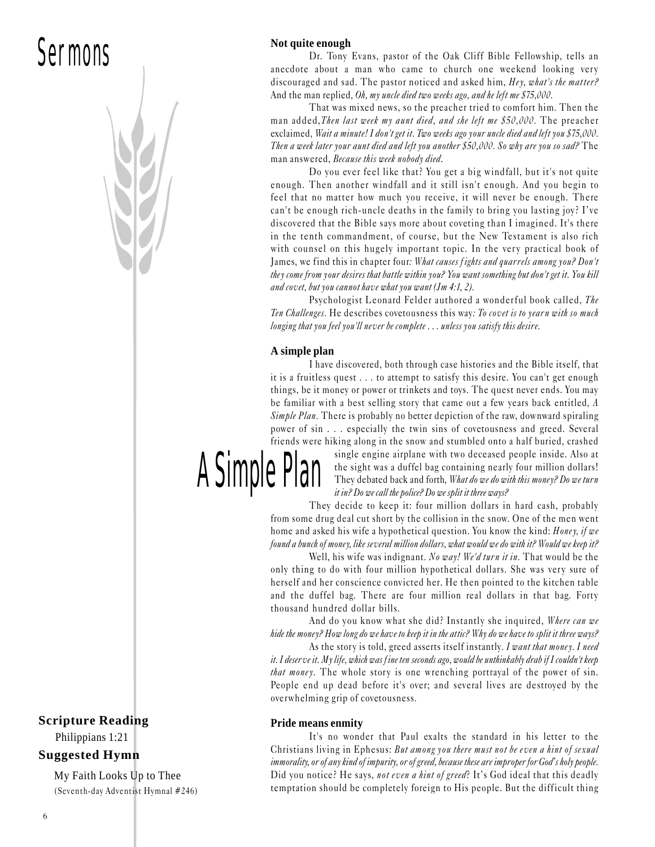#### **Not quite enough**

Dr. Tony Evans, pastor of the Oak Cliff Bible Fellowship, tells an anecdote about a man who came to church one weekend looking very discouraged and sad. The pastor noticed and asked him, *Hey, what's the matter?* And the man replied*, Oh, my uncle died two weeks ago, and he left me \$75,000.*

That was mixed news, so the preacher tried to comfort him*.* Then the man added,*Then last week my aunt died, and she left me \$50,000.* The preacher exclaimed*, Wait a minute! I don't get it. Two weeks ago your uncle died and left you \$75,000. Then a week later your aunt died and left you another \$50,000. So why are you so sad?* The man answered, *Because this week nobody died*.

Do you ever feel like that? You get a big windfall, but it's not quite enough. Then another windfall and it still isn't enough. And you begin to feel that no matter how much you receive, it will never be enough. There can't be enough rich-uncle deaths in the family to bring you lasting joy? I've discovered that the Bible says more about coveting than I imagined. It's there in the tenth commandment, of course, but the New Testament is also rich with counsel on this hugely important topic. In the very practical book of James, we find this in chapter four*: What causes f ights and quarrels among you? Don't they come from your desires that battle within you? You want something but don't get it. You kill and covet, but you cannot have what you want (Jm 4:1, 2).*

Psychologist Leonard Felder authored a wonderful book called, *The Ten Challenges.* He describes covetousness this way: To covet is to yearn with so much *longing that you feel you'll never be complete . . . unless you satisfy this desire.*

#### **A simple plan**

I have discovered, both through case histories and the Bible itself, that it is a fruitless quest . . . to attempt to satisfy this desire. You can't get enough things, be it money or power or trinkets and toys. The quest never ends. You may be familiar with a best selling story that came out a few years back entitled*, A Simple Plan.* There is probably no better depiction of the raw, downward spiraling power of sin . . . especially the twin sins of covetousness and greed. Several friends were hiking along in the snow and stumbled onto a half buried, crashed

A Simpl

single engine airplane with two deceased people inside. Also at the sight was a duffel bag containing nearly four million dollars! They debated back and forth*, What do we do with this money? Do we turn it in? Do we call the police? Do we split it three ways?*

They decide to keep it: four million dollars in hard cash, probably from some drug deal cut short by the collision in the snow. One of the men went home and asked his wife a hypothetical question. You know the kind: *Honey, if we found a bunch of money, like several million dollars, what would we do with it? Would we keep it?*

Well, his wife was indignant*. No way! We'd turn it in.* That would be the only thing to do with four million hypothetical dollars. She was very sure of herself and her conscience convicted her. He then pointed to the kitchen table and the duffel bag. There are four million real dollars in that bag. Forty thousand hundred dollar bills.

And do you know what she did? Instantly she inquired, *Where can we hide the money? How long do we have to keep it in the attic? Why do we have to split it three ways?*

As the story is told, greed asserts itself instantly*. I want that money. I need it. I deser ve it*. *My life, which was f ine ten seconds ago, would be unthinkably drab if I couldn't keep that money*. The whole story is one wrenching portrayal of the power of sin. People end up dead before it's over; and several lives are destroyed by the overwhelming grip of covetousness.

#### **Pride means enmity**

It's no wonder that Paul exalts the standard in his letter to the Christians living in Ephesus: *But among you there must not be even a hint of sexual immorality, or of any kind of impurity, or of greed, because these are improper for God's holy people.* Did you notice? He says, *not even a hint of greed*? It's God ideal that this deadly temptation should be completely foreign to His people. But the difficult thing

### **Scripture Reading**

Philippians 1:21

### **Suggested Hymn**

My Faith Looks Up to Thee (Seventh-day Adventist Hymnal #246)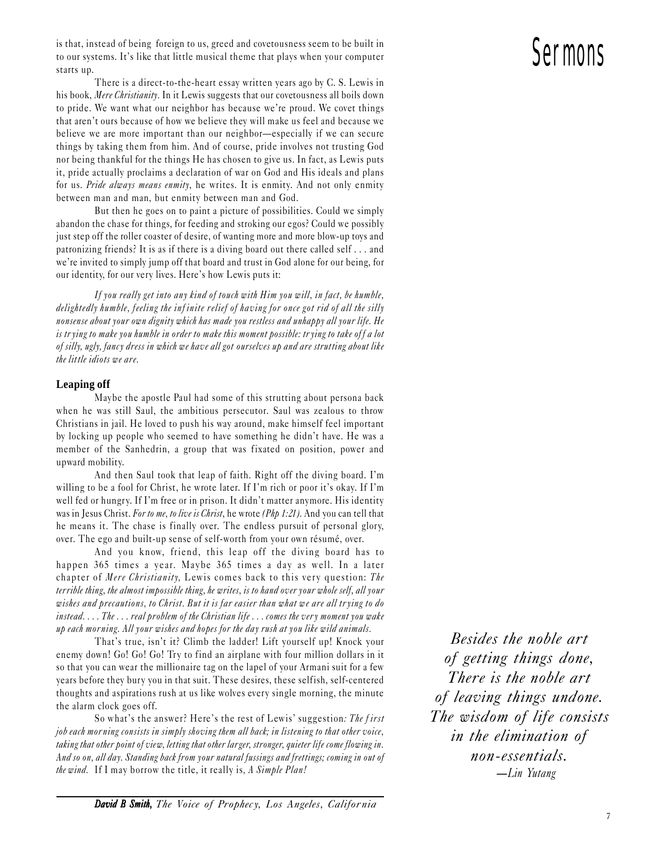is that, instead of being foreign to us, greed and covetousness seem to be built in to our systems. It's like that little musical theme that plays when your computer starts up.

There is a direct-to-the-heart essay written years ago by C. S. Lewis in his book, *Mere Christianity.* In it Lewis suggests that our covetousness all boils down to pride. We want what our neighbor has because we're proud. We covet things that aren't ours because of how we believe they will make us feel and because we believe we are more important than our neighbor—especially if we can secure things by taking them from him. And of course, pride involves not trusting God nor being thankful for the things He has chosen to give us. In fact, as Lewis puts it, pride actually proclaims a declaration of war on God and His ideals and plans for us. *Pride always means enmity*, he writes. It is enmity. And not only enmity between man and man, but enmity between man and God.

But then he goes on to paint a picture of possibilities. Could we simply abandon the chase for things, for feeding and stroking our egos? Could we possibly just step off the roller coaster of desire, of wanting more and more blow-up toys and patronizing friends? It is as if there is a diving board out there called self . . . and we're invited to simply jump off that board and trust in God alone for our being, for our identity, for our very lives. Here's how Lewis puts it:

*If you really get into any kind of touch with Him you will, in fact, be humble, delightedly humble, feeling the infinite relief of having for once got rid of all the silly nonsense about your own dignity which has made you restless and unhappy all your life. He is trying to make you humble in order to make this moment possible: trying to take off a lot of silly, ugly, fancy dress in which we have all got ourselves up and are strutting about like the little idiots we are.*

#### **Leaping off**

Maybe the apostle Paul had some of this strutting about persona back when he was still Saul, the ambitious persecutor. Saul was zealous to throw Christians in jail. He loved to push his way around, make himself feel important by locking up people who seemed to have something he didn't have. He was a member of the Sanhedrin, a group that was fixated on position, power and upward mobility.

And then Saul took that leap of faith. Right off the diving board. I'm willing to be a fool for Christ, he wrote later. If I'm rich or poor it's okay. If I'm well fed or hungry. If I'm free or in prison. It didn't matter anymore. His identity was in Jesus Christ. *For to me, to live is Christ*, he wrote *(Php 1:21).* And you can tell that he means it. The chase is finally over. The endless pursuit of personal glory, over. The ego and built-up sense of self-worth from your own résumé, over.

And you know, friend, this leap off the diving board has to happen 365 times a year. Maybe 365 times a day as well. In a later chapter of *Mere Christianity,* Lewis comes back to this very question: *The terrible thing, the almost impossible thing, he writes, is to hand over your whole self, all your wishes and precautions, to Christ. But it is far easier than what we are all trying to do instead. . . . The . . . real problem of the Christian life . . . comes the very moment you wake up each morning. All your wishes and hopes for the day rush at you like wild animals.*

That's true, isn't it? Climb the ladder! Lift yourself up! Knock your enemy down! Go! Go! Go! Try to find an airplane with four million dollars in it so that you can wear the millionaire tag on the lapel of your Armani suit for a few years before they bury you in that suit. These desires, these selfish, self-centered thoughts and aspirations rush at us like wolves every single morning, the minute the alarm clock goes off.

So what's the answer? Here's the rest of Lewis' suggestion*: The f irst job each morning consists in simply shoving them all back; in listening to that other voice, taking that other point of vie w, letting that other lar ger, stronger, quieter life come flowing in. And so on, all day. Standing back from your natural fussings and frettings; coming in out of the wind.* If I may borrow the title, it really is*, A Simple Plan!*

*Besides the noble art of getting things done, There is the noble art of leaving things undone. The wisdom of life consists in the elimination of non-essentials.* —*Lin Yutang*

### Sermons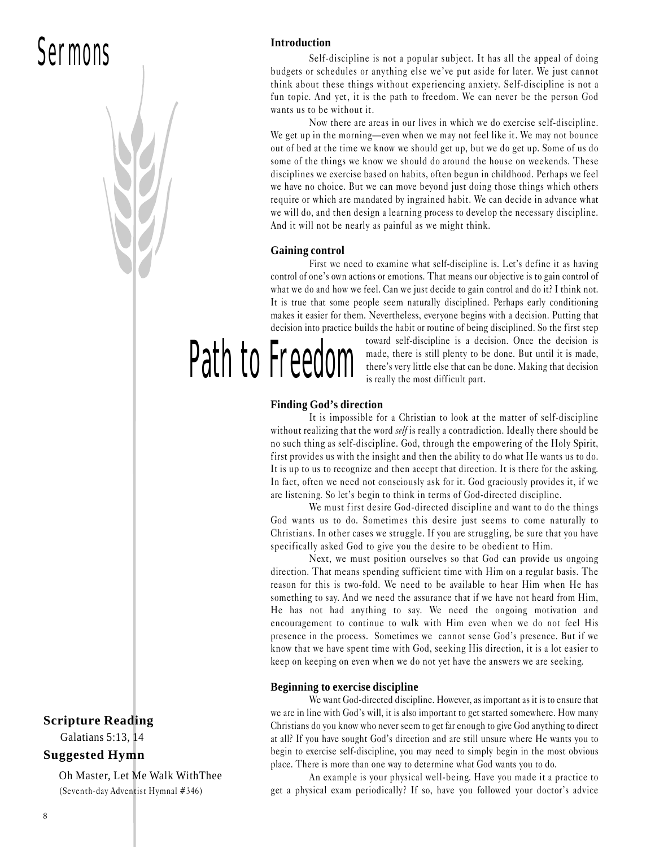#### **Introduction**

Self-discipline is not a popular subject. It has all the appeal of doing budgets or schedules or anything else we've put aside for later. We just cannot think about these things without experiencing anxiety. Self-discipline is not a fun topic. And yet, it is the path to freedom. We can never be the person God wants us to be without it.

Now there are areas in our lives in which we do exercise self-discipline. We get up in the morning—even when we may not feel like it. We may not bounce out of bed at the time we know we should get up, but we do get up. Some of us do some of the things we know we should do around the house on weekends. These disciplines we exercise based on habits, often begun in childhood. Perhaps we feel we have no choice. But we can move beyond just doing those things which others require or which are mandated by ingrained habit. We can decide in advance what we will do, and then design a learning process to develop the necessary discipline. And it will not be nearly as painful as we might think.

#### **Gaining control**

First we need to examine what self-discipline is. Let's define it as having control of one's own actions or emotions. That means our objective is to gain control of what we do and how we feel. Can we just decide to gain control and do it? I think not. It is true that some people seem naturally disciplined. Perhaps early conditioning makes it easier for them. Nevertheless, everyone begins with a decision. Putting that decision into practice builds the habit or routine of being disciplined. So the first step

Path to Freedom toward self-discipline is a decision. Once the decision is made, there is still plenty to be done. But until it is made, there's very little else that can be done. Making that decision is really the most difficult part.

#### **Finding God's direction**

It is impossible for a Christian to look at the matter of self-discipline without realizing that the word *self* is really a contradiction. Ideally there should be no such thing as self-discipline. God, through the empowering of the Holy Spirit, first provides us with the insight and then the ability to do what He wants us to do. It is up to us to recognize and then accept that direction. It is there for the asking. In fact, often we need not consciously ask for it. God graciously provides it, if we are listening. So let's begin to think in terms of God-directed discipline.

We must first desire God-directed discipline and want to do the things God wants us to do. Sometimes this desire just seems to come naturally to Christians. In other cases we struggle. If you are struggling, be sure that you have specifically asked God to give you the desire to be obedient to Him.

Next, we must position ourselves so that God can provide us ongoing direction. That means spending sufficient time with Him on a regular basis. The reason for this is two-fold. We need to be available to hear Him when He has something to say. And we need the assurance that if we have not heard from Him, He has not had anything to say. We need the ongoing motivation and encouragement to continue to walk with Him even when we do not feel His presence in the process. Sometimes we cannot sense God's presence. But if we know that we have spent time with God, seeking His direction, it is a lot easier to keep on keeping on even when we do not yet have the answers we are seeking.

#### **Beginning to exercise discipline**

We want God-directed discipline. However, as important as it is to ensure that we are in line with God's will, it is also important to get started somewhere. How many Christians do you know who never seem to get far enough to give God anything to direct at all? If you have sought God's direction and are still unsure where He wants you to begin to exercise self-discipline, you may need to simply begin in the most obvious place. There is more than one way to determine what God wants you to do.

An example is your physical well-being. Have you made it a practice to get a physical exam periodically? If so, have you followed your doctor's advice

#### **Scripture Reading**

Galatians 5:13, 14

#### **Suggested Hymn**

Oh Master, Let Me Walk WithThee (Seventh-day Adventist Hymnal #346)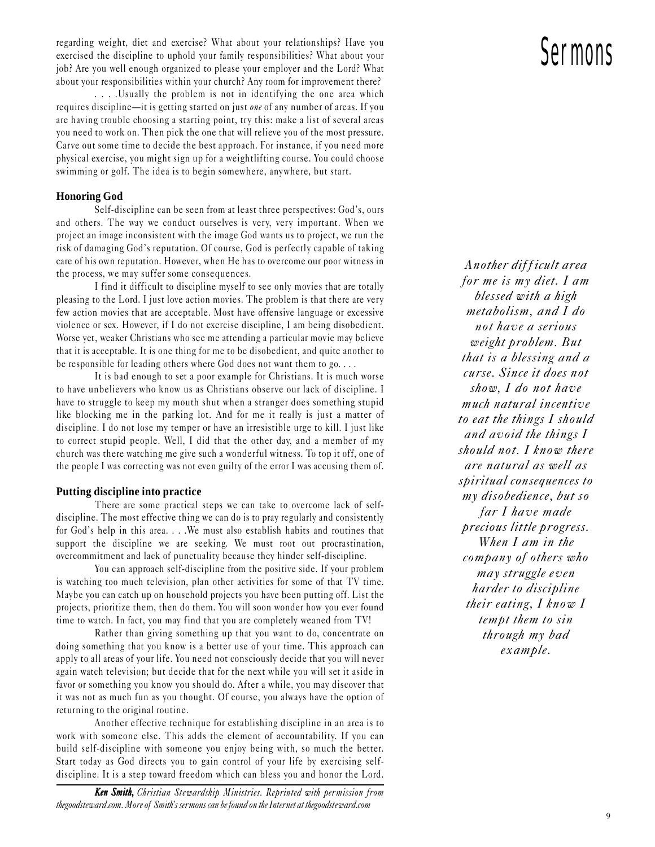regarding weight, diet and exercise? What about your relationships? Have you exercised the discipline to uphold your family responsibilities? What about your job? Are you well enough organized to please your employer and the Lord? What about your responsibilities within your church? Any room for improvement there?

. . . .Usually the problem is not in identifying the one area which requires discipline—it is getting started on just *one* of any number of areas. If you are having trouble choosing a starting point, try this: make a list of several areas you need to work on. Then pick the one that will relieve you of the most pressure. Carve out some time to decide the best approach. For instance, if you need more physical exercise, you might sign up for a weightlifting course. You could choose swimming or golf. The idea is to begin somewhere, anywhere, but start.

#### **Honoring God**

Self-discipline can be seen from at least three perspectives: God's, ours and others. The way we conduct ourselves is very, very important. When we project an image inconsistent with the image God wants us to project, we run the risk of damaging God's reputation. Of course, God is perfectly capable of taking care of his own reputation. However, when He has to overcome our poor witness in the process, we may suffer some consequences.

I find it difficult to discipline myself to see only movies that are totally pleasing to the Lord. I just love action movies. The problem is that there are very few action movies that are acceptable. Most have offensive language or excessive violence or sex. However, if I do not exercise discipline, I am being disobedient. Worse yet, weaker Christians who see me attending a particular movie may believe that it is acceptable. It is one thing for me to be disobedient, and quite another to be responsible for leading others where God does not want them to go. . . .

It is bad enough to set a poor example for Christians. It is much worse to have unbelievers who know us as Christians observe our lack of discipline. I have to struggle to keep my mouth shut when a stranger does something stupid like blocking me in the parking lot. And for me it really is just a matter of discipline. I do not lose my temper or have an irresistible urge to kill. I just like to correct stupid people. Well, I did that the other day, and a member of my church was there watching me give such a wonderful witness. To top it off, one of the people I was correcting was not even guilty of the error I was accusing them of.

#### **Putting discipline into practice**

There are some practical steps we can take to overcome lack of selfdiscipline. The most effective thing we can do is to pray regularly and consistently for God's help in this area. . . .We must also establish habits and routines that support the discipline we are seeking. We must root out procrastination, overcommitment and lack of punctuality because they hinder self-discipline.

You can approach self-discipline from the positive side. If your problem is watching too much television, plan other activities for some of that TV time. Maybe you can catch up on household projects you have been putting off. List the projects, prioritize them, then do them. You will soon wonder how you ever found time to watch. In fact, you may find that you are completely weaned from TV!

Rather than giving something up that you want to do, concentrate on doing something that you know is a better use of your time. This approach can apply to all areas of your life. You need not consciously decide that you will never again watch television; but decide that for the next while you will set it aside in favor or something you know you should do. After a while, you may discover that it was not as much fun as you thought. Of course, you always have the option of returning to the original routine.

Another effective technique for establishing discipline in an area is to work with someone else. This adds the element of accountability. If you can build self-discipline with someone you enjoy being with, so much the better. Start today as God directs you to gain control of your life by exercising selfdiscipline. It is a step toward freedom which can bless you and honor the Lord.

*Ken Smith, Ken Smith, Christian Stewardship Ministries. Reprinted with permission from thegoodsteward.com. More of Smith's sermons can be found on the Internet at thegoodsteward.com*

### Sermons

*Another dif f icult area for me is my diet. I am blessed with a high metabolism, and I do not have a serious weight problem. But that is a blessing and a curse. Since it does not show, I do not have much natural incentive to eat the things I should and avoid the things I should not. I know there are natural as well as spiritual consequences to my disobedience, but so far I have made precious little progress. When I am in the company of others who may struggle even harder to discipline their eating, I know I tempt them to sin through my bad example.*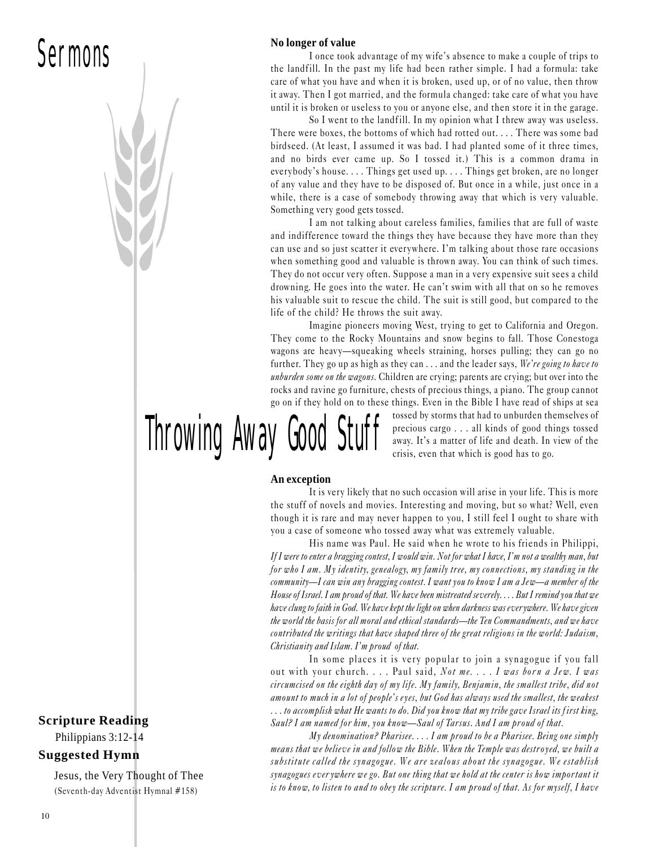#### **No longer of value**

I once took advantage of my wife's absence to make a couple of trips to the landfill. In the past my life had been rather simple. I had a formula: take care of what you have and when it is broken, used up, or of no value, then throw it away. Then I got married, and the formula changed: take care of what you have until it is broken or useless to you or anyone else, and then store it in the garage.

So I went to the landfill. In my opinion what I threw away was useless. There were boxes, the bottoms of which had rotted out. . . . There was some bad birdseed. (At least, I assumed it was bad. I had planted some of it three times, and no birds ever came up. So I tossed it.) This is a common drama in everybody's house. . . . Things get used up. . . . Things get broken, are no longer of any value and they have to be disposed of. But once in a while, just once in a while, there is a case of somebody throwing away that which is very valuable. Something very good gets tossed.

I am not talking about careless families, families that are full of waste and indifference toward the things they have because they have more than they can use and so just scatter it everywhere. I'm talking about those rare occasions when something good and valuable is thrown away. You can think of such times. They do not occur very often. Suppose a man in a very expensive suit sees a child drowning. He goes into the water. He can't swim with all that on so he removes his valuable suit to rescue the child. The suit is still good, but compared to the life of the child? He throws the suit away.

Imagine pioneers moving West, trying to get to California and Oregon. They come to the Rocky Mountains and snow begins to fall. Those Conestoga wagons are heavy—squeaking wheels straining, horses pulling; they can go no further. They go up as high as they can . . . and the leader says, *We're going to have to unburden some on the wagons.* Children are crying; parents are crying; but over into the rocks and ravine go furniture, chests of precious things, a piano. The group cannot go on if they hold on to these things. Even in the Bible I have read of ships at sea

**Throwing Away Good St** 

tossed by storms that had to unburden themselves of precious cargo . . . all kinds of good things tossed away. It's a matter of life and death. In view of the crisis, even that which is good has to go.

#### **An exception**

It is very likely that no such occasion will arise in your life. This is more the stuff of novels and movies. Interesting and moving, but so what? Well, even though it is rare and may never happen to you, I still feel I ought to share with you a case of someone who tossed away what was extremely valuable.

His name was Paul. He said when he wrote to his friends in Philippi, *If I were to enter a bragging contest, I would win. Not for what I have, I'm not a wealthy man, but for who I am. My identity, genealogy, my family tree, my connections, my standing in the community—I can win any bragging contest. I want you to know I am a Jew—a member of the House of Israel. I am proud of that. We have been mistreated severely. . . . But I remind you that we have clung to faith in God. We have kept the light on when darkness was ever ywhere. We have given the world the basis for all moral and ethical standards—the Ten Commandments, and we have contributed the writings that have shaped three of the great religions in the world: Judaism, Christianity and Islam. I'm proud of that.*

In some places it is very popular to join a synagogue if you fall out with your church. . . . Paul said, *Not me.* . . . I was born a Jew. I was *circumcised on the eighth day of my life. My family, Benjamin, the smallest tribe, did not amount to much in a lot of people's eyes, but God has always used the smallest, the weakest . . . to accomplish what He wants to do. Did you know that my tribe gave Israel its f irst king, Saul? I am named for him, you know—Saul of Tarsus. And I am proud of that.*

*My denomination? Pharisee. . . . I am proud to be a Pharisee. Being one simply means that we belie ve in and follow the Bible. When the Temple was destroyed, we built a substitute called the synagogue. We are zealous about the synagogue. We establish synagogues everywhere we go. But one thing that we hold at the center is how important it* is to know, to listen to and to obey the scripture. I am proud of that. As for myself, I have

#### **Scripture Reading**

Philippians 3:12-14

#### **Suggested Hymn**

Jesus, the Very Thought of Thee (Seventh-day Adventist Hymnal #158)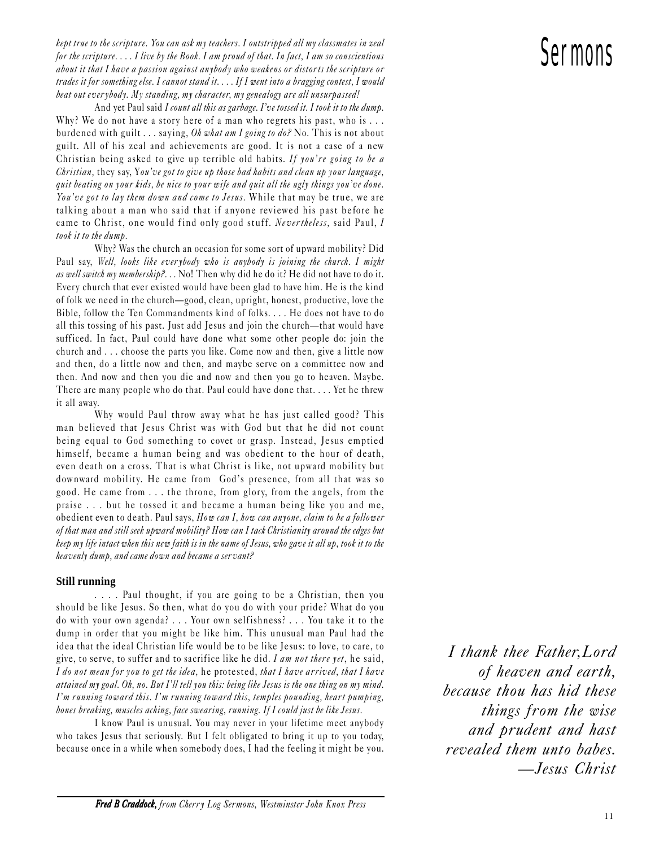*kept true to the scripture. You can ask my teachers. I outstripped all my classmates in zeal for the scripture. . . . I live by the Book. I am proud of that. In fact, I am so conscientious about it that I have a passion against anybody who weakens or distorts the scripture or trades it for something else. I cannot stand it. . . . If I went into a bragging contest, I would beat out e ver ybody. My standing, my character, my genealogy are all unsurpassed!*

And yet Paul said *I count all this as garbage. I've tossed it. I took it to the dump.* Why? We do not have a story here of a man who regrets his past, who is ... burdened with guilt . . . saying, *Oh what am I going to do?* No. This is not about guilt. All of his zeal and achievements are good. It is not a case of a new Christian being asked to give up terrible old habits. *If you're going to be a Christian,* they say, Y*ou've got to give up those bad habits and clean up your language, quit beating on your kids, be nice to your wife and quit all the ugly things you've done. You've got to lay them down and come to Jesus.* While that may be true, we are talking about a man who said that if anyone reviewed his past before he came to Christ, one would find only good stuff. *Nevertheless,* said Paul, *I took it to the dump.*

Why? Was the church an occasion for some sort of upward mobility? Did Paul say, *Well, looks like ever ybody who is anybody is joining the church. I might as well switch my membership?. . .* No! Then why did he do it? He did not have to do it. Every church that ever existed would have been glad to have him. He is the kind of folk we need in the church—good, clean, upright, honest, productive, love the Bible, follow the Ten Commandments kind of folks. . . . He does not have to do all this tossing of his past. Just add Jesus and join the church—that would have sufficed. In fact, Paul could have done what some other people do: join the church and . . . choose the parts you like. Come now and then, give a little now and then, do a little now and then, and maybe serve on a committee now and then. And now and then you die and now and then you go to heaven. Maybe. There are many people who do that. Paul could have done that. . . . Yet he threw it all away.

Why would Paul throw away what he has just called good? This man believed that Jesus Christ was with God but that he did not count being equal to God something to covet or grasp. Instead, Jesus emptied himself, became a human being and was obedient to the hour of death, even death on a cross. That is what Christ is like, not upward mobility but downward mobility. He came from God's presence, from all that was so good. He came from . . . the throne, from glory, from the angels, from the praise . . . but he tossed it and became a human being like you and me, obedient even to death. Paul says, *How can I, how can anyone, claim to be a follower of that man and still seek upward mobility? How can I tack Christianity around the edges but keep my life intact when this new faith is in the name of Jesus, who gave it all up, took it to the heavenly dump, and came down and became a ser vant?*

#### **Still running**

. . . . Paul thought, if you are going to be a Christian, then you should be like Jesus. So then, what do you do with your pride? What do you do with your own agenda? . . . Your own self ishness? . . . You take it to the dump in order that you might be like him. This unusual man Paul had the idea that the ideal Christian life would be to be like Jesus: to love, to care, to give, to serve, to suffer and to sacrifice like he did. *I am not there yet*, he said, *I do not mean for you to get the idea,* he protested, *that I have arrived, that I have attained my goal. Oh, no. But I'll tell you this: being like Jesus is the one thing on my mind. I'm running toward this. I'm running toward this, temples pounding, heart pumping, bones breaking, muscles aching, face swearing, running. If I could just be like Jesus.*

I know Paul is unusual. You may never in your lifetime meet anybody who takes Jesus that seriously. But I felt obligated to bring it up to you today, because once in a while when somebody does, I had the feeling it might be you.

*I thank thee Father,Lord of heaven and earth, because thou has hid these things from the wise and prudent and hast revealed them unto babes. —Jesus Christ*

### Sermons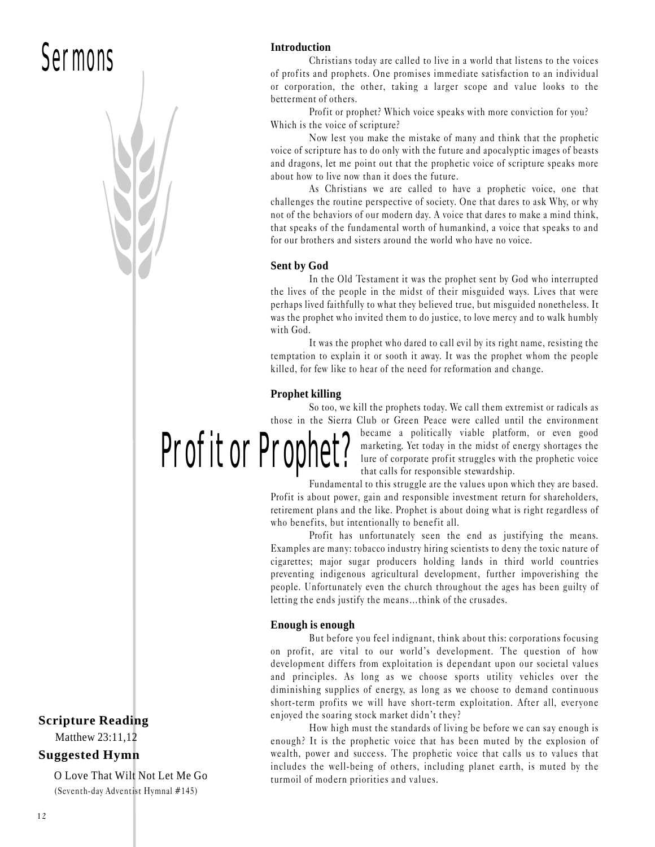#### **Introduction**

Christians today are called to live in a world that listens to the voices of profits and prophets. One promises immediate satisfaction to an individual or corporation, the other, taking a larger scope and value looks to the betterment of others.

Profit or prophet? Which voice speaks with more conviction for you? Which is the voice of scripture?

Now lest you make the mistake of many and think that the prophetic voice of scripture has to do only with the future and apocalyptic images of beasts and dragons, let me point out that the prophetic voice of scripture speaks more about how to live now than it does the future.

As Christians we are called to have a prophetic voice, one that challenges the routine perspective of society. One that dares to ask Why, or why not of the behaviors of our modern day. A voice that dares to make a mind think, that speaks of the fundamental worth of humankind, a voice that speaks to and for our brothers and sisters around the world who have no voice.

#### **Sent by God**

In the Old Testament it was the prophet sent by God who interrupted the lives of the people in the midst of their misguided ways. Lives that were perhaps lived faithfully to what they believed true, but misguided nonetheless. It was the prophet who invited them to do justice, to love mercy and to walk humbly with God.

It was the prophet who dared to call evil by its right name, resisting the temptation to explain it or sooth it away. It was the prophet whom the people killed, for few like to hear of the need for reformation and change.

#### **Prophet killing**

So too, we kill the prophets today. We call them extremist or radicals as those in the Sierra Club or Green Peace were called until the environment

Prof it or Prophet?

became a politically viable platform, or even good marketing. Yet today in the midst of energy shortages the lure of corporate profit struggles with the prophetic voice that calls for responsible stewardship.

Fundamental to this struggle are the values upon which they are based. Profit is about power, gain and responsible investment return for shareholders, retirement plans and the like. Prophet is about doing what is right regardless of who benefits, but intentionally to benefit all.

Profit has unfortunately seen the end as justifying the means. Examples are many: tobacco industry hiring scientists to deny the toxic nature of cigarettes; major sugar producers holding lands in third world countries preventing indigenous agricultural development, further impoverishing the people. Unfortunately even the church throughout the ages has been guilty of letting the ends justify the means…think of the crusades.

#### **Enough is enough**

But before you feel indignant, think about this: corporations focusing on profit, are vital to our world's development. The question of how development differs from exploitation is dependant upon our societal values and principles. As long as we choose sports utility vehicles over the diminishing supplies of energy, as long as we choose to demand continuous short-term profits we will have short-term exploitation. After all, everyone enjoyed the soaring stock market didn't they?

How high must the standards of living be before we can say enough is enough? It is the prophetic voice that has been muted by the explosion of wealth, power and success. The prophetic voice that calls us to values that includes the well-being of others, including planet earth, is muted by the turmoil of modern priorities and values.

#### **Scripture Reading**

Matthew 23:11,12

#### **Suggested Hymn**

O Love That Wilt Not Let Me Go (Seventh-day Adventist Hymnal #145)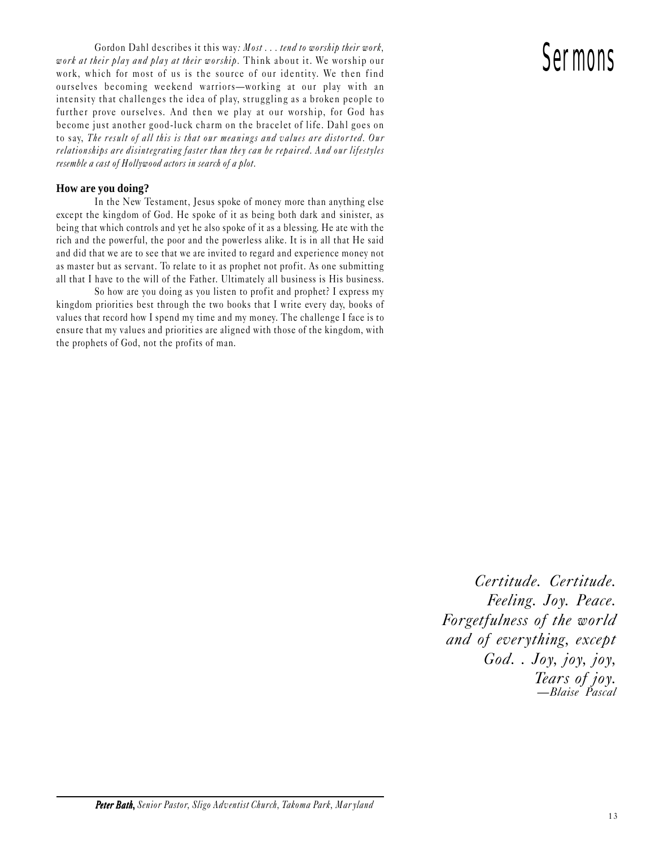Gordon Dahl describes it this way*: Most . . . tend to worship their work, work at their play and play at their worship.* Think about it. We worship our work, which for most of us is the source of our identity. We then find ourselves becoming weekend warriors—working at our play with an intensity that challenges the idea of play, struggling as a broken people to further prove ourselves. And then we play at our worship, for God has become just another good-luck charm on the bracelet of life. Dahl goes on to say, *The result of all this is that our meanings and values are distorted. Our relationships are disintegrating faster than they can be repaired. And our lifestyles resemble a cast of Hollywood actors in search of a plot.*

#### **How are you doing?**

In the New Testament, Jesus spoke of money more than anything else except the kingdom of God. He spoke of it as being both dark and sinister, as being that which controls and yet he also spoke of it as a blessing. He ate with the rich and the powerful, the poor and the powerless alike. It is in all that He said and did that we are to see that we are invited to regard and experience money not as master but as servant. To relate to it as prophet not profit. As one submitting all that I have to the will of the Father. Ultimately all business is His business.

So how are you doing as you listen to profit and prophet? I express my kingdom priorities best through the two books that I write every day, books of values that record how I spend my time and my money. The challenge I face is to ensure that my values and priorities are aligned with those of the kingdom, with the prophets of God, not the profits of man.

### Sermons

*Certitude. Certitude. Feeling. Joy. Peace. Forgetfulness of the world and of everything, except God. . Joy, joy, joy, Tears of joy. —Blaise Pascal*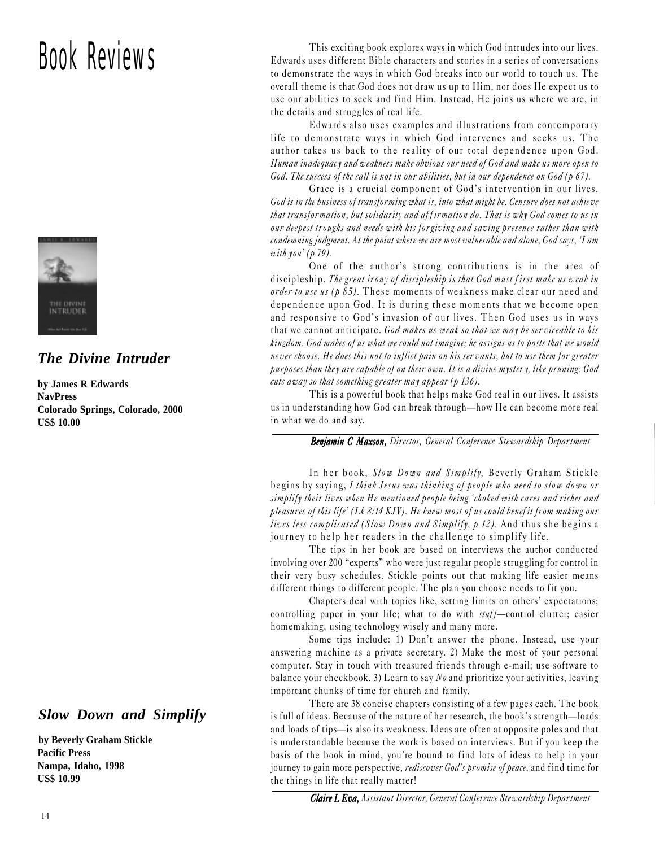### Book Reviews



#### *The Divine Intruder*

**by James R Edwards NavPress Colorado Springs, Colorado, 2000 US\$ 10.00**

#### *Slow Down and Simplify*

**by Beverly Graham Stickle Pacific Press Nampa, Idaho, 1998 US\$ 10.99**

This exciting book explores ways in which God intrudes into our lives. Edwards uses different Bible characters and stories in a series of conversations to demonstrate the ways in which God breaks into our world to touch us. The overall theme is that God does not draw us up to Him, nor does He expect us to use our abilities to seek and find Him. Instead, He joins us where we are, in the details and struggles of real life.

Edwards also uses examples and illustrations from contemporary life to demonstrate ways in which God intervenes and seeks us. The author takes us back to the reality of our total dependence upon God. *Human inadequacy and weakness make obvious our need of God and make us more open to God. The success of the call is not in our abilities, but in our dependence on God (p 67).*

Grace is a crucial component of God's intervention in our lives*. God is in the business of transforming what is, into what might be. Censure does not achieve that transformation, but solidarity and af f irmation do. That is why God comes to us in our deepest troughs and needs with his forgiving and saving presence rather than with condemning judgment. At the point where we are most vulnerable and alone, God says, 'I am with you' (p 79).*

One of the author's strong contributions is in the area of discipleship. *The great irony of discipleship is that God must first make us weak in order to use us (p 85)*. These moments of weakness make clear our need and dependence upon God. It is during these moments that we become open and responsive to God's invasion of our lives. Then God uses us in ways that we cannot anticipate. *God makes us weak so that we may be serviceable to his kingdom. God makes of us what we could not imagine; he assigns us to posts that we would never choose. He does this not to inflict pain on his ser vants, but to use them for greater purposes than the y are capable of on their own. It is a divine myster y, like pruning: God cuts away so that something greater may appear (p 136).*

This is a powerful book that helps make God real in our lives. It assists us in understanding how God can break through—how He can become more real in what we do and say.

**Benjamin C Maxson, Director, General Conference Stewardship Department** 

In her book, *Slow Down and Simplify,* Beverly Graham Stickle begins by saying, *I think Jesus was thinking of people who need to slow down or simplify their lives when He mentioned people being 'choked with cares and riches and pleasures of this life' (Lk 8:14 KJV). He kne w most of us could benef it from making our lives less complicated (Slow Down and Simplify, p 12).* And thus she begins a journey to help her readers in the challenge to simplify life.

The tips in her book are based on interviews the author conducted involving over 200 "experts" who were just regular people struggling for control in their very busy schedules. Stickle points out that making life easier means different things to different people. The plan you choose needs to fit you.

Chapters deal with topics like, setting limits on others' expectations; controlling paper in your life; what to do with *stuff*—control clutter; easier homemaking, using technology wisely and many more.

Some tips include: 1) Don't answer the phone. Instead, use your answering machine as a private secretary. 2) Make the most of your personal computer. Stay in touch with treasured friends through e-mail; use software to balance your checkbook. 3) Learn to say *No* and prioritize your activities, leaving important chunks of time for church and family.

There are 38 concise chapters consisting of a few pages each. The book is full of ideas. Because of the nature of her research, the book's strength—loads and loads of tips—is also its weakness. Ideas are often at opposite poles and that is understandable because the work is based on interviews. But if you keep the basis of the book in mind, you're bound to find lots of ideas to help in your journey to gain more perspective, *rediscover God's promise of peace,* and find time for the things in life that really matter!

*Claire L Eva, Assistant Director, General Conference Stewardship Depar tment*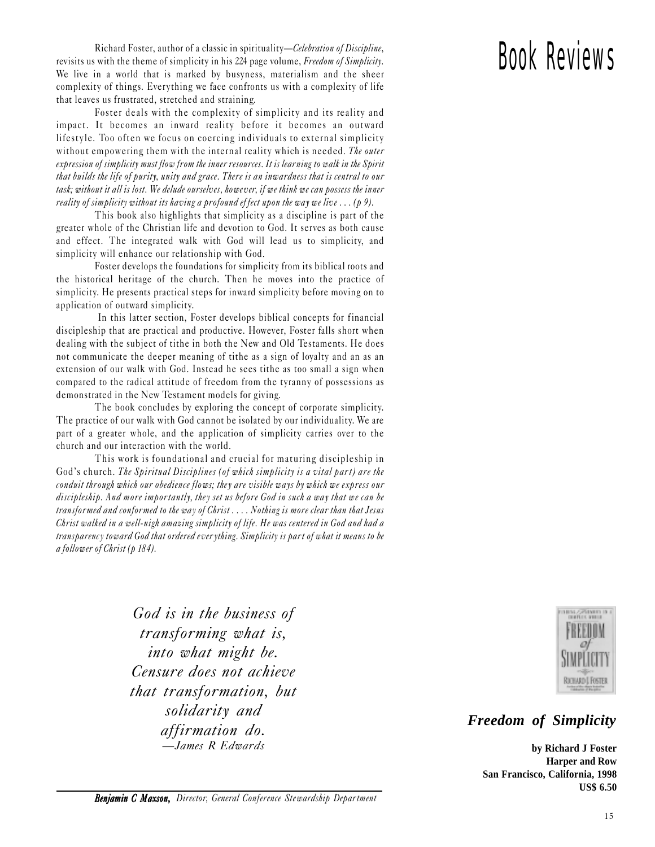Richard Foster, author of a classic in spirituality—*Celebration of Discipline*,<br>with the theme of simplicity in his 224 page volume, *Freedom of Simplicity*.<br>In a world that is marked by busyness, materialism and the shee revisits us with the theme of simplicity in his 224 page volume, *Freedom of Simplicity.* We live in a world that is marked by busyness, materialism and the sheer complexity of things. Everything we face confronts us with a complexity of life that leaves us frustrated, stretched and straining.

Foster deals with the complexity of simplicity and its reality and impact. It becomes an inward reality before it becomes an outward lifestyle. Too often we focus on coercing individuals to external simplicity without empowering them with the internal reality which is needed*. The outer expression of simplicity must flow from the inner resources. It is learning to walk in the Spirit that builds the life of purity, unity and grace. There is an inwardness that is central to our task; without it all is lost. We delude ourselves, howe ver, if we think we can possess the inner reality of simplicity without its having a profound ef fect upon the way we live . . . (p 9).*

This book also highlights that simplicity as a discipline is part of the greater whole of the Christian life and devotion to God. It serves as both cause and effect. The integrated walk with God will lead us to simplicity, and simplicity will enhance our relationship with God.

Foster develops the foundations for simplicity from its biblical roots and the historical heritage of the church. Then he moves into the practice of simplicity. He presents practical steps for inward simplicity before moving on to application of outward simplicity.

 In this latter section, Foster develops biblical concepts for financial discipleship that are practical and productive. However, Foster falls short when dealing with the subject of tithe in both the New and Old Testaments. He does not communicate the deeper meaning of tithe as a sign of loyalty and an as an extension of our walk with God. Instead he sees tithe as too small a sign when compared to the radical attitude of freedom from the tyranny of possessions as demonstrated in the New Testament models for giving.

The book concludes by exploring the concept of corporate simplicity. The practice of our walk with God cannot be isolated by our individuality. We are part of a greater whole, and the application of simplicity carries over to the church and our interaction with the world.

This work is foundational and crucial for maturing discipleship in God's church. *The Spiritual Disciplines (of which simplicity is a vital part) are the conduit through which our obedience flows; they are visible ways by which we express our discipleship. And more impor tantly, they set us before God in such a way that we can be transformed and conformed to the way of Christ . . . . Nothing is more clear than that Jesus Christ walked in a well-nigh amazing simplicity of life. He was centered in God and had a transparency toward God that ordered ever ything. Simplicity is part of what it means to be a follower of Christ (p 184).*

> *God is in the business of transforming what is, into what might be. Censure does not achieve that transformation, but solidarity and affirmation do. —James R Edwards*

# **RICHARD L FOSTER**

### *Freedom of Simplicity*

**by Richard J Foster Harper and Row San Francisco, California, 1998 US\$ 6.50**

**Benjamin C Maxson, Director, General Conference Stewardship Department**